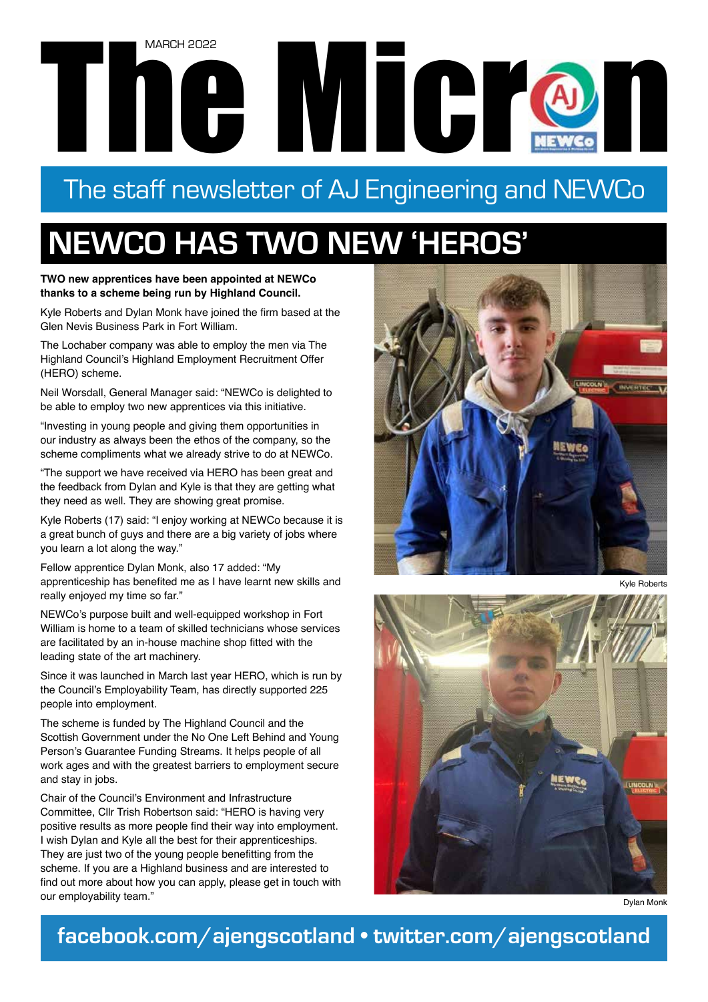# The Microsoft Contract Contract Contract Contract Contract Contract Contract Contract Contract Contract Contract Contract Contract Contract Contract Contract Contract Contract Contract Contract Contract Contract Contract C MARCH 2022

## The staff newsletter of AJ Engineering and NEWCo

# **NEWCO HAS TWO NEW 'HEROS'**

**TWO new apprentices have been appointed at NEWCo thanks to a scheme being run by Highland Council.** 

Kyle Roberts and Dylan Monk have joined the firm based at the Glen Nevis Business Park in Fort William.

The Lochaber company was able to employ the men via The Highland Council's Highland Employment Recruitment Offer (HERO) scheme.

Neil Worsdall, General Manager said: "NEWCo is delighted to be able to employ two new apprentices via this initiative.

"Investing in young people and giving them opportunities in our industry as always been the ethos of the company, so the scheme compliments what we already strive to do at NEWCo.

"The support we have received via HERO has been great and the feedback from Dylan and Kyle is that they are getting what they need as well. They are showing great promise.

Kyle Roberts (17) said: "I enjoy working at NEWCo because it is a great bunch of guys and there are a big variety of jobs where you learn a lot along the way."

Fellow apprentice Dylan Monk, also 17 added: "My apprenticeship has benefited me as I have learnt new skills and really enjoyed my time so far."

NEWCo's purpose built and well-equipped workshop in Fort William is home to a team of skilled technicians whose services are facilitated by an in-house machine shop fitted with the leading state of the art machinery.

Since it was launched in March last year HERO, which is run by the Council's Employability Team, has directly supported 225 people into employment.

The scheme is funded by The Highland Council and the Scottish Government under the No One Left Behind and Young Person's Guarantee Funding Streams. It helps people of all work ages and with the greatest barriers to employment secure and stay in jobs.

Chair of the Council's Environment and Infrastructure Committee, Cllr Trish Robertson said: "HERO is having very positive results as more people find their way into employment. I wish Dylan and Kyle all the best for their apprenticeships. They are just two of the young people benefitting from the scheme. If you are a Highland business and are interested to find out more about how you can apply, please get in touch with our employability team."



Kyle Roberts



Dylan Monk

### **facebook.com/ajengscotland • twitter.com/ajengscotland**